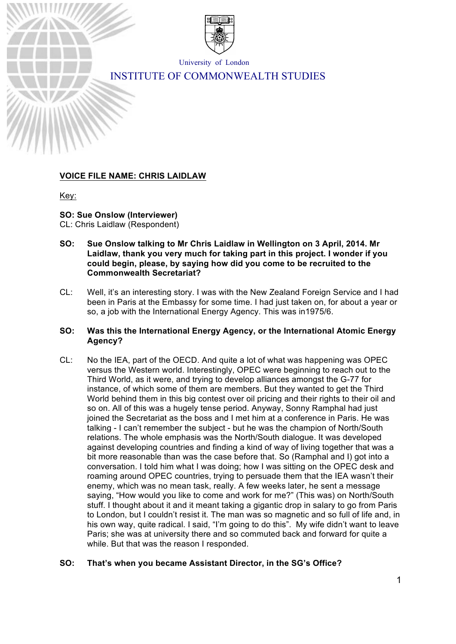

University of London INSTITUTE OF COMMONWEALTH STUDIES

# **VOICE FILE NAME: CHRIS LAIDLAW**

Key:

# **SO: Sue Onslow (Interviewer)**

CL: Chris Laidlaw (Respondent)

- **SO: Sue Onslow talking to Mr Chris Laidlaw in Wellington on 3 April, 2014. Mr Laidlaw, thank you very much for taking part in this project. I wonder if you could begin, please, by saying how did you come to be recruited to the Commonwealth Secretariat?**
- CL: Well, it's an interesting story. I was with the New Zealand Foreign Service and I had been in Paris at the Embassy for some time. I had just taken on, for about a year or so, a job with the International Energy Agency. This was in1975/6.

# **SO: Was this the International Energy Agency, or the International Atomic Energy Agency?**

CL: No the IEA, part of the OECD. And quite a lot of what was happening was OPEC versus the Western world. Interestingly, OPEC were beginning to reach out to the Third World, as it were, and trying to develop alliances amongst the G-77 for instance, of which some of them are members. But they wanted to get the Third World behind them in this big contest over oil pricing and their rights to their oil and so on. All of this was a hugely tense period. Anyway, Sonny Ramphal had just joined the Secretariat as the boss and I met him at a conference in Paris. He was talking - I can't remember the subject - but he was the champion of North/South relations. The whole emphasis was the North/South dialogue. It was developed against developing countries and finding a kind of way of living together that was a bit more reasonable than was the case before that. So (Ramphal and I) got into a conversation. I told him what I was doing; how I was sitting on the OPEC desk and roaming around OPEC countries, trying to persuade them that the IEA wasn't their enemy, which was no mean task, really. A few weeks later, he sent a message saying, "How would you like to come and work for me?" (This was) on North/South stuff. I thought about it and it meant taking a gigantic drop in salary to go from Paris to London, but I couldn't resist it. The man was so magnetic and so full of life and, in his own way, quite radical. I said, "I'm going to do this". My wife didn't want to leave Paris; she was at university there and so commuted back and forward for quite a while. But that was the reason I responded.

# **SO: That's when you became Assistant Director, in the SG's Office?**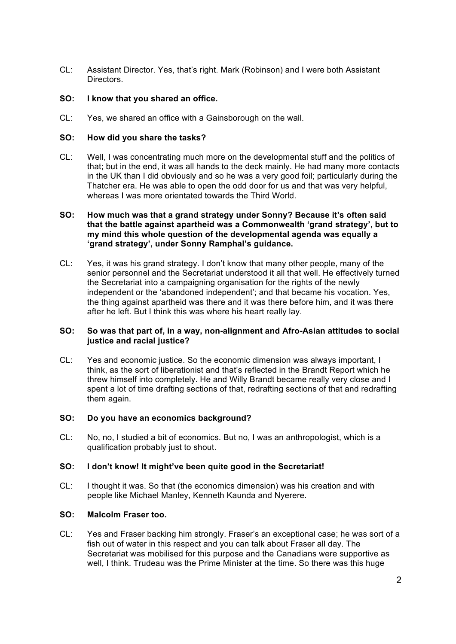CL: Assistant Director. Yes, that's right. Mark (Robinson) and I were both Assistant Directors.

# **SO: I know that you shared an office.**

CL: Yes, we shared an office with a Gainsborough on the wall.

### **SO: How did you share the tasks?**

CL: Well, I was concentrating much more on the developmental stuff and the politics of that; but in the end, it was all hands to the deck mainly. He had many more contacts in the UK than I did obviously and so he was a very good foil; particularly during the Thatcher era. He was able to open the odd door for us and that was very helpful, whereas I was more orientated towards the Third World.

### **SO: How much was that a grand strategy under Sonny? Because it's often said that the battle against apartheid was a Commonwealth 'grand strategy', but to my mind this whole question of the developmental agenda was equally a 'grand strategy', under Sonny Ramphal's guidance.**

CL: Yes, it was his grand strategy. I don't know that many other people, many of the senior personnel and the Secretariat understood it all that well. He effectively turned the Secretariat into a campaigning organisation for the rights of the newly independent or the 'abandoned independent'; and that became his vocation. Yes, the thing against apartheid was there and it was there before him, and it was there after he left. But I think this was where his heart really lay.

# **SO: So was that part of, in a way, non-alignment and Afro-Asian attitudes to social justice and racial justice?**

CL: Yes and economic justice. So the economic dimension was always important, I think, as the sort of liberationist and that's reflected in the Brandt Report which he threw himself into completely. He and Willy Brandt became really very close and I spent a lot of time drafting sections of that, redrafting sections of that and redrafting them again.

#### **SO: Do you have an economics background?**

CL: No, no, I studied a bit of economics. But no, I was an anthropologist, which is a qualification probably just to shout.

#### **SO: I don't know! It might've been quite good in the Secretariat!**

CL: I thought it was. So that (the economics dimension) was his creation and with people like Michael Manley, Kenneth Kaunda and Nyerere.

### **SO: Malcolm Fraser too.**

CL: Yes and Fraser backing him strongly. Fraser's an exceptional case; he was sort of a fish out of water in this respect and you can talk about Fraser all day. The Secretariat was mobilised for this purpose and the Canadians were supportive as well, I think. Trudeau was the Prime Minister at the time. So there was this huge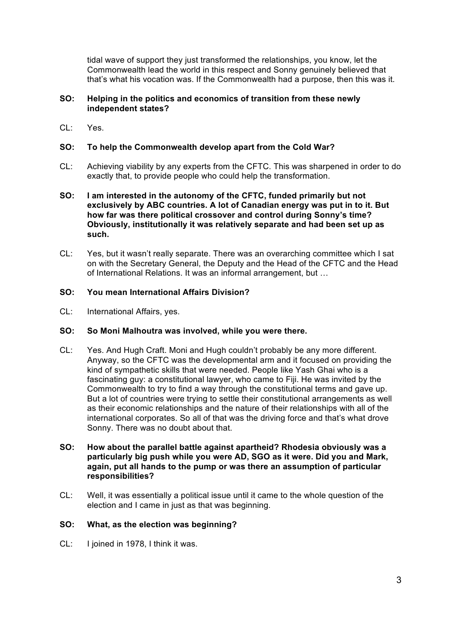tidal wave of support they just transformed the relationships, you know, let the Commonwealth lead the world in this respect and Sonny genuinely believed that that's what his vocation was. If the Commonwealth had a purpose, then this was it.

# **SO: Helping in the politics and economics of transition from these newly independent states?**

 $Cl: Yes$ 

# **SO: To help the Commonwealth develop apart from the Cold War?**

- CL: Achieving viability by any experts from the CFTC. This was sharpened in order to do exactly that, to provide people who could help the transformation.
- **SO: I am interested in the autonomy of the CFTC, funded primarily but not exclusively by ABC countries. A lot of Canadian energy was put in to it. But how far was there political crossover and control during Sonny's time? Obviously, institutionally it was relatively separate and had been set up as such.**
- CL: Yes, but it wasn't really separate. There was an overarching committee which I sat on with the Secretary General, the Deputy and the Head of the CFTC and the Head of International Relations. It was an informal arrangement, but …

## **SO: You mean International Affairs Division?**

CL: International Affairs, yes.

#### **SO: So Moni Malhoutra was involved, while you were there.**

- CL: Yes. And Hugh Craft. Moni and Hugh couldn't probably be any more different. Anyway, so the CFTC was the developmental arm and it focused on providing the kind of sympathetic skills that were needed. People like Yash Ghai who is a fascinating guy: a constitutional lawyer, who came to Fiji. He was invited by the Commonwealth to try to find a way through the constitutional terms and gave up. But a lot of countries were trying to settle their constitutional arrangements as well as their economic relationships and the nature of their relationships with all of the international corporates. So all of that was the driving force and that's what drove Sonny. There was no doubt about that.
- **SO: How about the parallel battle against apartheid? Rhodesia obviously was a particularly big push while you were AD, SGO as it were. Did you and Mark, again, put all hands to the pump or was there an assumption of particular responsibilities?**
- CL: Well, it was essentially a political issue until it came to the whole question of the election and I came in just as that was beginning.

#### **SO: What, as the election was beginning?**

CL: I joined in 1978, I think it was.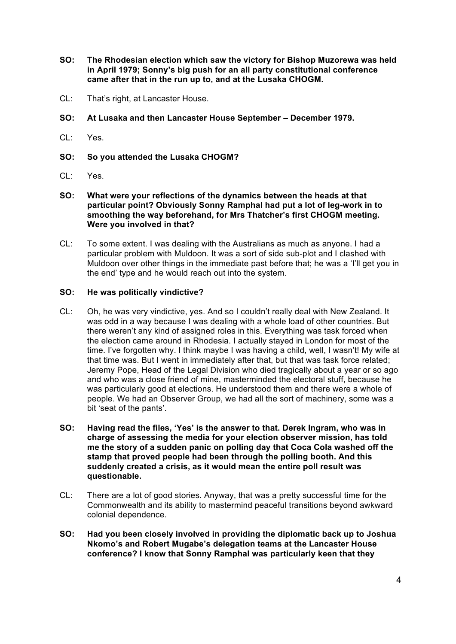- **SO: The Rhodesian election which saw the victory for Bishop Muzorewa was held in April 1979; Sonny's big push for an all party constitutional conference came after that in the run up to, and at the Lusaka CHOGM.**
- CL: That's right, at Lancaster House.
- **SO: At Lusaka and then Lancaster House September – December 1979.**
- CL: Yes.
- **SO: So you attended the Lusaka CHOGM?**
- CL: Yes.
- **SO: What were your reflections of the dynamics between the heads at that particular point? Obviously Sonny Ramphal had put a lot of leg-work in to smoothing the way beforehand, for Mrs Thatcher's first CHOGM meeting. Were you involved in that?**
- CL: To some extent. I was dealing with the Australians as much as anyone. I had a particular problem with Muldoon. It was a sort of side sub-plot and I clashed with Muldoon over other things in the immediate past before that; he was a 'I'll get you in the end' type and he would reach out into the system.

#### **SO: He was politically vindictive?**

- CL: Oh, he was very vindictive, yes. And so I couldn't really deal with New Zealand. It was odd in a way because I was dealing with a whole load of other countries. But there weren't any kind of assigned roles in this. Everything was task forced when the election came around in Rhodesia. I actually stayed in London for most of the time. I've forgotten why. I think maybe I was having a child, well, I wasn't! My wife at that time was. But I went in immediately after that, but that was task force related; Jeremy Pope, Head of the Legal Division who died tragically about a year or so ago and who was a close friend of mine, masterminded the electoral stuff, because he was particularly good at elections. He understood them and there were a whole of people. We had an Observer Group, we had all the sort of machinery, some was a bit 'seat of the pants'.
- **SO: Having read the files, 'Yes' is the answer to that. Derek Ingram, who was in charge of assessing the media for your election observer mission, has told me the story of a sudden panic on polling day that Coca Cola washed off the stamp that proved people had been through the polling booth. And this suddenly created a crisis, as it would mean the entire poll result was questionable.**
- CL: There are a lot of good stories. Anyway, that was a pretty successful time for the Commonwealth and its ability to mastermind peaceful transitions beyond awkward colonial dependence.
- **SO: Had you been closely involved in providing the diplomatic back up to Joshua Nkomo's and Robert Mugabe's delegation teams at the Lancaster House conference? I know that Sonny Ramphal was particularly keen that they**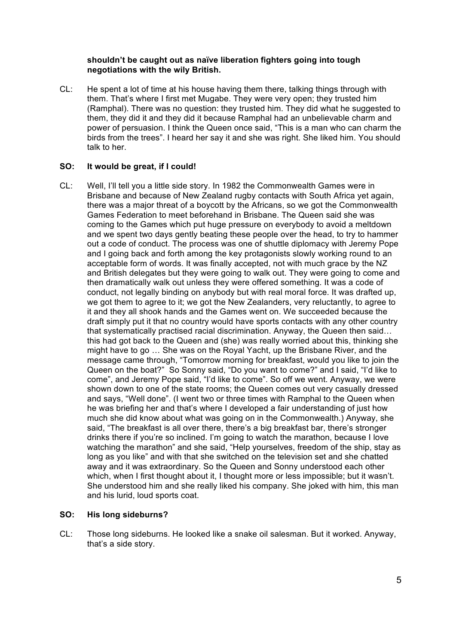# **shouldn't be caught out as naïve liberation fighters going into tough negotiations with the wily British.**

CL: He spent a lot of time at his house having them there, talking things through with them. That's where I first met Mugabe. They were very open; they trusted him (Ramphal). There was no question: they trusted him. They did what he suggested to them, they did it and they did it because Ramphal had an unbelievable charm and power of persuasion. I think the Queen once said, "This is a man who can charm the birds from the trees". I heard her say it and she was right. She liked him. You should talk to her.

# **SO: It would be great, if I could!**

CL: Well, I'll tell you a little side story. In 1982 the Commonwealth Games were in Brisbane and because of New Zealand rugby contacts with South Africa yet again, there was a major threat of a boycott by the Africans, so we got the Commonwealth Games Federation to meet beforehand in Brisbane. The Queen said she was coming to the Games which put huge pressure on everybody to avoid a meltdown and we spent two days gently beating these people over the head, to try to hammer out a code of conduct. The process was one of shuttle diplomacy with Jeremy Pope and I going back and forth among the key protagonists slowly working round to an acceptable form of words. It was finally accepted, not with much grace by the NZ and British delegates but they were going to walk out. They were going to come and then dramatically walk out unless they were offered something. It was a code of conduct, not legally binding on anybody but with real moral force. It was drafted up, we got them to agree to it; we got the New Zealanders, very reluctantly, to agree to it and they all shook hands and the Games went on. We succeeded because the draft simply put it that no country would have sports contacts with any other country that systematically practised racial discrimination. Anyway, the Queen then said… this had got back to the Queen and (she) was really worried about this, thinking she might have to go … She was on the Royal Yacht, up the Brisbane River, and the message came through, "Tomorrow morning for breakfast, would you like to join the Queen on the boat?" So Sonny said, "Do you want to come?" and I said, "I'd like to come", and Jeremy Pope said, "I'd like to come". So off we went. Anyway, we were shown down to one of the state rooms; the Queen comes out very casually dressed and says, "Well done". (I went two or three times with Ramphal to the Queen when he was briefing her and that's where I developed a fair understanding of just how much she did know about what was going on in the Commonwealth.) Anyway, she said, "The breakfast is all over there, there's a big breakfast bar, there's stronger drinks there if you're so inclined. I'm going to watch the marathon, because I love watching the marathon" and she said, "Help yourselves, freedom of the ship, stay as long as you like" and with that she switched on the television set and she chatted away and it was extraordinary. So the Queen and Sonny understood each other which, when I first thought about it, I thought more or less impossible; but it wasn't. She understood him and she really liked his company. She joked with him, this man and his lurid, loud sports coat.

# **SO: His long sideburns?**

CL: Those long sideburns. He looked like a snake oil salesman. But it worked. Anyway, that's a side story.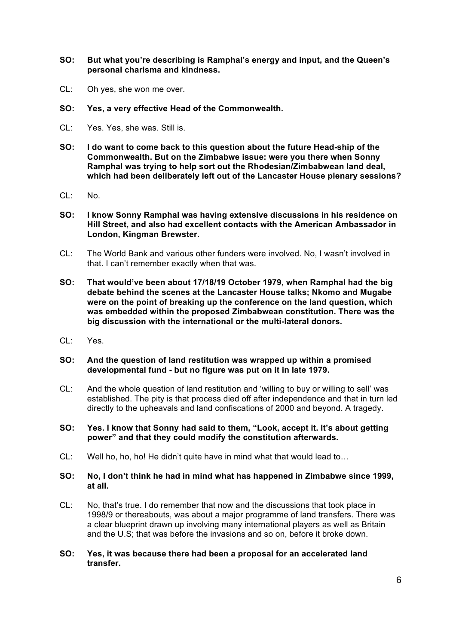**SO: But what you're describing is Ramphal's energy and input, and the Queen's personal charisma and kindness.**

- CL: Oh yes, she won me over.
- **SO: Yes, a very effective Head of the Commonwealth.**
- CL: Yes. Yes, she was. Still is.
- **SO: I do want to come back to this question about the future Head-ship of the Commonwealth. But on the Zimbabwe issue: were you there when Sonny Ramphal was trying to help sort out the Rhodesian/Zimbabwean land deal, which had been deliberately left out of the Lancaster House plenary sessions?**
- CL: No.
- **SO: I know Sonny Ramphal was having extensive discussions in his residence on Hill Street, and also had excellent contacts with the American Ambassador in London, Kingman Brewster.**
- CL: The World Bank and various other funders were involved. No, I wasn't involved in that. I can't remember exactly when that was.
- **SO: That would've been about 17/18/19 October 1979, when Ramphal had the big debate behind the scenes at the Lancaster House talks; Nkomo and Mugabe were on the point of breaking up the conference on the land question, which was embedded within the proposed Zimbabwean constitution. There was the big discussion with the international or the multi-lateral donors.**
- CL: Yes.
- **SO: And the question of land restitution was wrapped up within a promised developmental fund - but no figure was put on it in late 1979.**
- CL: And the whole question of land restitution and 'willing to buy or willing to sell' was established. The pity is that process died off after independence and that in turn led directly to the upheavals and land confiscations of 2000 and beyond. A tragedy.
- **SO: Yes. I know that Sonny had said to them, "Look, accept it. It's about getting power" and that they could modify the constitution afterwards.**
- CL: Well ho, ho, ho! He didn't quite have in mind what that would lead to…

# **SO: No, I don't think he had in mind what has happened in Zimbabwe since 1999, at all.**

- CL: No, that's true. I do remember that now and the discussions that took place in 1998/9 or thereabouts, was about a major programme of land transfers. There was a clear blueprint drawn up involving many international players as well as Britain and the U.S; that was before the invasions and so on, before it broke down.
- **SO: Yes, it was because there had been a proposal for an accelerated land transfer.**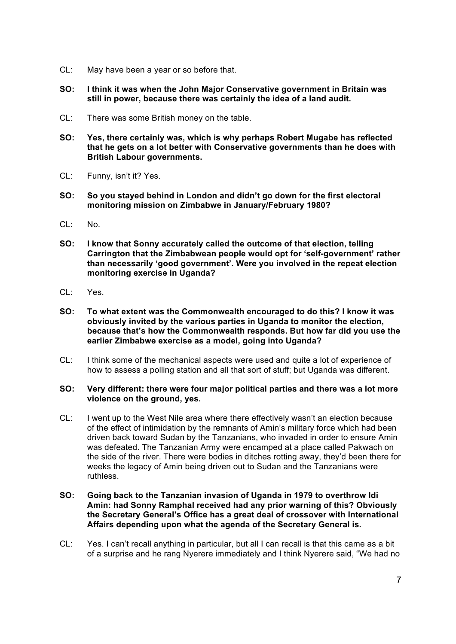- CL: May have been a year or so before that.
- **SO: I think it was when the John Major Conservative government in Britain was still in power, because there was certainly the idea of a land audit.**
- CL: There was some British money on the table.
- **SO: Yes, there certainly was, which is why perhaps Robert Mugabe has reflected that he gets on a lot better with Conservative governments than he does with British Labour governments.**
- CL: Funny, isn't it? Yes.
- **SO: So you stayed behind in London and didn't go down for the first electoral monitoring mission on Zimbabwe in January/February 1980?**
- CL: No.
- **SO: I know that Sonny accurately called the outcome of that election, telling Carrington that the Zimbabwean people would opt for 'self-government' rather than necessarily 'good government'. Were you involved in the repeat election monitoring exercise in Uganda?**
- $Cl: Yes$
- **SO: To what extent was the Commonwealth encouraged to do this? I know it was obviously invited by the various parties in Uganda to monitor the election, because that's how the Commonwealth responds. But how far did you use the earlier Zimbabwe exercise as a model, going into Uganda?**
- CL: I think some of the mechanical aspects were used and quite a lot of experience of how to assess a polling station and all that sort of stuff; but Uganda was different.

## **SO: Very different: there were four major political parties and there was a lot more violence on the ground, yes.**

CL: I went up to the West Nile area where there effectively wasn't an election because of the effect of intimidation by the remnants of Amin's military force which had been driven back toward Sudan by the Tanzanians, who invaded in order to ensure Amin was defeated. The Tanzanian Army were encamped at a place called Pakwach on the side of the river. There were bodies in ditches rotting away, they'd been there for weeks the legacy of Amin being driven out to Sudan and the Tanzanians were ruthless.

## **SO: Going back to the Tanzanian invasion of Uganda in 1979 to overthrow Idi Amin: had Sonny Ramphal received had any prior warning of this? Obviously the Secretary General's Office has a great deal of crossover with International Affairs depending upon what the agenda of the Secretary General is.**

CL: Yes. I can't recall anything in particular, but all I can recall is that this came as a bit of a surprise and he rang Nyerere immediately and I think Nyerere said, "We had no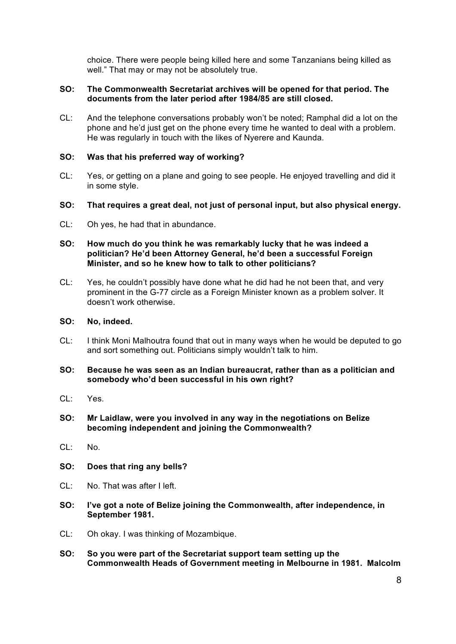choice. There were people being killed here and some Tanzanians being killed as well." That may or may not be absolutely true.

# **SO: The Commonwealth Secretariat archives will be opened for that period. The documents from the later period after 1984/85 are still closed.**

CL: And the telephone conversations probably won't be noted; Ramphal did a lot on the phone and he'd just get on the phone every time he wanted to deal with a problem. He was regularly in touch with the likes of Nyerere and Kaunda.

### **SO: Was that his preferred way of working?**

- CL: Yes, or getting on a plane and going to see people. He enjoyed travelling and did it in some style.
- **SO: That requires a great deal, not just of personal input, but also physical energy.**
- CL: Oh yes, he had that in abundance.

# **SO: How much do you think he was remarkably lucky that he was indeed a politician? He'd been Attorney General, he'd been a successful Foreign Minister, and so he knew how to talk to other politicians?**

CL: Yes, he couldn't possibly have done what he did had he not been that, and very prominent in the G-77 circle as a Foreign Minister known as a problem solver. It doesn't work otherwise.

#### **SO: No, indeed.**

- CL: I think Moni Malhoutra found that out in many ways when he would be deputed to go and sort something out. Politicians simply wouldn't talk to him.
- **SO: Because he was seen as an Indian bureaucrat, rather than as a politician and somebody who'd been successful in his own right?**
- CL: Yes.
- **SO: Mr Laidlaw, were you involved in any way in the negotiations on Belize becoming independent and joining the Commonwealth?**
- CL: No.
- **SO: Does that ring any bells?**
- CL: No. That was after I left.
- **SO: I've got a note of Belize joining the Commonwealth, after independence, in September 1981.**
- CL: Oh okay. I was thinking of Mozambique.
- **SO: So you were part of the Secretariat support team setting up the Commonwealth Heads of Government meeting in Melbourne in 1981. Malcolm**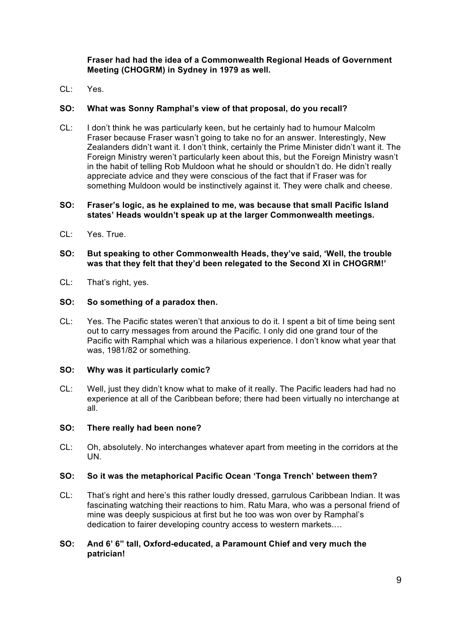**Fraser had had the idea of a Commonwealth Regional Heads of Government Meeting (CHOGRM) in Sydney in 1979 as well.**

 $CI: Yes$ 

## **SO: What was Sonny Ramphal's view of that proposal, do you recall?**

CL: I don't think he was particularly keen, but he certainly had to humour Malcolm Fraser because Fraser wasn't going to take no for an answer. Interestingly, New Zealanders didn't want it. I don't think, certainly the Prime Minister didn't want it. The Foreign Ministry weren't particularly keen about this, but the Foreign Ministry wasn't in the habit of telling Rob Muldoon what he should or shouldn't do. He didn't really appreciate advice and they were conscious of the fact that if Fraser was for something Muldoon would be instinctively against it. They were chalk and cheese.

## **SO: Fraser's logic, as he explained to me, was because that small Pacific Island states' Heads wouldn't speak up at the larger Commonwealth meetings.**

- CL: Yes. True.
- **SO: But speaking to other Commonwealth Heads, they've said, 'Well, the trouble was that they felt that they'd been relegated to the Second XI in CHOGRM!'**
- CL: That's right, yes.

#### **SO: So something of a paradox then.**

CL: Yes. The Pacific states weren't that anxious to do it. I spent a bit of time being sent out to carry messages from around the Pacific. I only did one grand tour of the Pacific with Ramphal which was a hilarious experience. I don't know what year that was, 1981/82 or something.

#### **SO: Why was it particularly comic?**

CL: Well, just they didn't know what to make of it really. The Pacific leaders had had no experience at all of the Caribbean before; there had been virtually no interchange at all.

#### **SO: There really had been none?**

CL: Oh, absolutely. No interchanges whatever apart from meeting in the corridors at the UN.

#### **SO: So it was the metaphorical Pacific Ocean 'Tonga Trench' between them?**

CL: That's right and here's this rather loudly dressed, garrulous Caribbean Indian. It was fascinating watching their reactions to him. Ratu Mara, who was a personal friend of mine was deeply suspicious at first but he too was won over by Ramphal's dedication to fairer developing country access to western markets.…

### **SO: And 6' 6" tall, Oxford-educated, a Paramount Chief and very much the patrician!**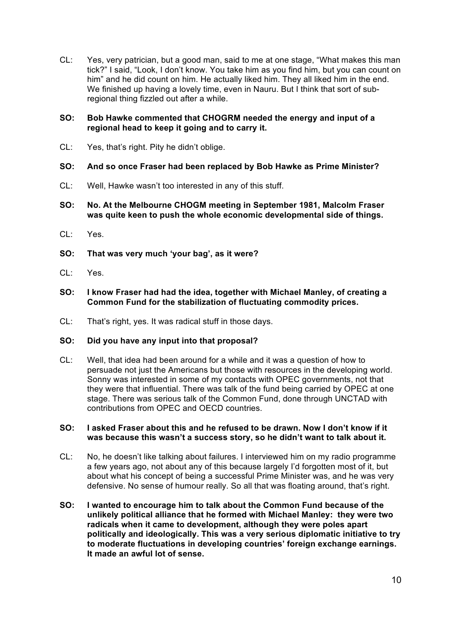CL: Yes, very patrician, but a good man, said to me at one stage, "What makes this man tick?" I said, "Look, I don't know. You take him as you find him, but you can count on him" and he did count on him. He actually liked him. They all liked him in the end. We finished up having a lovely time, even in Nauru. But I think that sort of subregional thing fizzled out after a while.

# **SO: Bob Hawke commented that CHOGRM needed the energy and input of a regional head to keep it going and to carry it.**

- CL: Yes, that's right. Pity he didn't oblige.
- **SO: And so once Fraser had been replaced by Bob Hawke as Prime Minister?**
- CL: Well, Hawke wasn't too interested in any of this stuff.
- **SO: No. At the Melbourne CHOGM meeting in September 1981, Malcolm Fraser was quite keen to push the whole economic developmental side of things.**
- CL: Yes.
- **SO: That was very much 'your bag', as it were?**
- CL: Yes.
- **SO: I know Fraser had had the idea, together with Michael Manley, of creating a Common Fund for the stabilization of fluctuating commodity prices.**
- CL: That's right, yes. It was radical stuff in those days.

#### **SO: Did you have any input into that proposal?**

CL: Well, that idea had been around for a while and it was a question of how to persuade not just the Americans but those with resources in the developing world. Sonny was interested in some of my contacts with OPEC governments, not that they were that influential. There was talk of the fund being carried by OPEC at one stage. There was serious talk of the Common Fund, done through UNCTAD with contributions from OPEC and OECD countries.

#### **SO: I asked Fraser about this and he refused to be drawn. Now I don't know if it was because this wasn't a success story, so he didn't want to talk about it.**

- CL: No, he doesn't like talking about failures. I interviewed him on my radio programme a few years ago, not about any of this because largely I'd forgotten most of it, but about what his concept of being a successful Prime Minister was, and he was very defensive. No sense of humour really. So all that was floating around, that's right.
- **SO: I wanted to encourage him to talk about the Common Fund because of the unlikely political alliance that he formed with Michael Manley: they were two radicals when it came to development, although they were poles apart politically and ideologically. This was a very serious diplomatic initiative to try to moderate fluctuations in developing countries' foreign exchange earnings. It made an awful lot of sense.**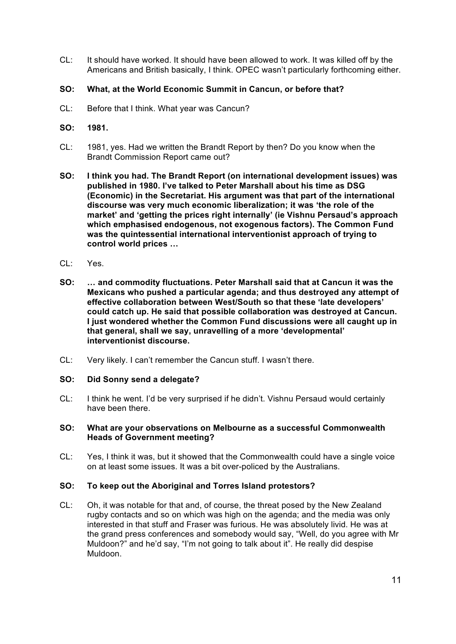- CL: It should have worked. It should have been allowed to work. It was killed off by the Americans and British basically, I think. OPEC wasn't particularly forthcoming either.
- **SO: What, at the World Economic Summit in Cancun, or before that?**
- CL: Before that I think. What year was Cancun?
- **SO: 1981.**
- CL: 1981, yes. Had we written the Brandt Report by then? Do you know when the Brandt Commission Report came out?
- **SO: I think you had. The Brandt Report (on international development issues) was published in 1980. I've talked to Peter Marshall about his time as DSG (Economic) in the Secretariat. His argument was that part of the international discourse was very much economic liberalization; it was 'the role of the market' and 'getting the prices right internally' (ie Vishnu Persaud's approach which emphasised endogenous, not exogenous factors). The Common Fund was the quintessential international interventionist approach of trying to control world prices …**
- CL: Yes.
- **SO: … and commodity fluctuations. Peter Marshall said that at Cancun it was the Mexicans who pushed a particular agenda; and thus destroyed any attempt of effective collaboration between West/South so that these 'late developers' could catch up. He said that possible collaboration was destroyed at Cancun. I just wondered whether the Common Fund discussions were all caught up in that general, shall we say, unravelling of a more 'developmental' interventionist discourse.**
- CL: Very likely. I can't remember the Cancun stuff. I wasn't there.

#### **SO: Did Sonny send a delegate?**

CL: I think he went. I'd be very surprised if he didn't. Vishnu Persaud would certainly have been there.

## **SO: What are your observations on Melbourne as a successful Commonwealth Heads of Government meeting?**

CL: Yes, I think it was, but it showed that the Commonwealth could have a single voice on at least some issues. It was a bit over-policed by the Australians.

#### **SO: To keep out the Aboriginal and Torres Island protestors?**

CL: Oh, it was notable for that and, of course, the threat posed by the New Zealand rugby contacts and so on which was high on the agenda; and the media was only interested in that stuff and Fraser was furious. He was absolutely livid. He was at the grand press conferences and somebody would say, "Well, do you agree with Mr Muldoon?" and he'd say, "I'm not going to talk about it". He really did despise Muldoon.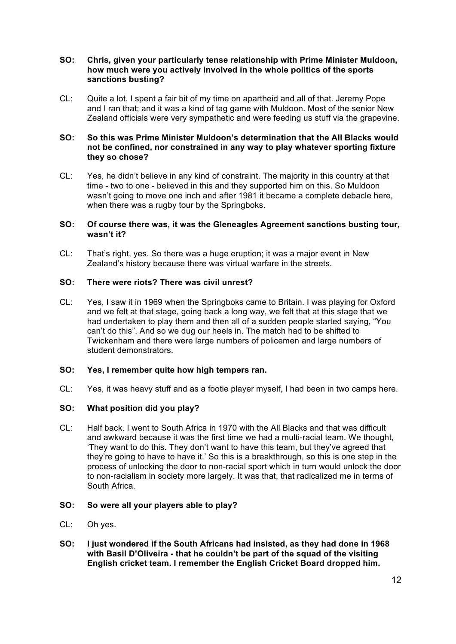### **SO: Chris, given your particularly tense relationship with Prime Minister Muldoon, how much were you actively involved in the whole politics of the sports sanctions busting?**

CL: Quite a lot. I spent a fair bit of my time on apartheid and all of that. Jeremy Pope and I ran that; and it was a kind of tag game with Muldoon. Most of the senior New Zealand officials were very sympathetic and were feeding us stuff via the grapevine.

# **SO: So this was Prime Minister Muldoon's determination that the All Blacks would not be confined, nor constrained in any way to play whatever sporting fixture they so chose?**

CL: Yes, he didn't believe in any kind of constraint. The majority in this country at that time - two to one - believed in this and they supported him on this. So Muldoon wasn't going to move one inch and after 1981 it became a complete debacle here, when there was a rugby tour by the Springboks.

# **SO: Of course there was, it was the Gleneagles Agreement sanctions busting tour, wasn't it?**

CL: That's right, yes. So there was a huge eruption; it was a major event in New Zealand's history because there was virtual warfare in the streets.

# **SO: There were riots? There was civil unrest?**

CL: Yes, I saw it in 1969 when the Springboks came to Britain. I was playing for Oxford and we felt at that stage, going back a long way, we felt that at this stage that we had undertaken to play them and then all of a sudden people started saying, "You can't do this". And so we dug our heels in. The match had to be shifted to Twickenham and there were large numbers of policemen and large numbers of student demonstrators.

# **SO: Yes, I remember quite how high tempers ran.**

CL: Yes, it was heavy stuff and as a footie player myself, I had been in two camps here.

# **SO: What position did you play?**

CL: Half back. I went to South Africa in 1970 with the All Blacks and that was difficult and awkward because it was the first time we had a multi-racial team. We thought, 'They want to do this. They don't want to have this team, but they've agreed that they're going to have to have it.' So this is a breakthrough, so this is one step in the process of unlocking the door to non-racial sport which in turn would unlock the door to non-racialism in society more largely. It was that, that radicalized me in terms of South Africa.

# **SO: So were all your players able to play?**

- CL: Oh yes.
- **SO: I just wondered if the South Africans had insisted, as they had done in 1968 with Basil D'Oliveira - that he couldn't be part of the squad of the visiting English cricket team. I remember the English Cricket Board dropped him.**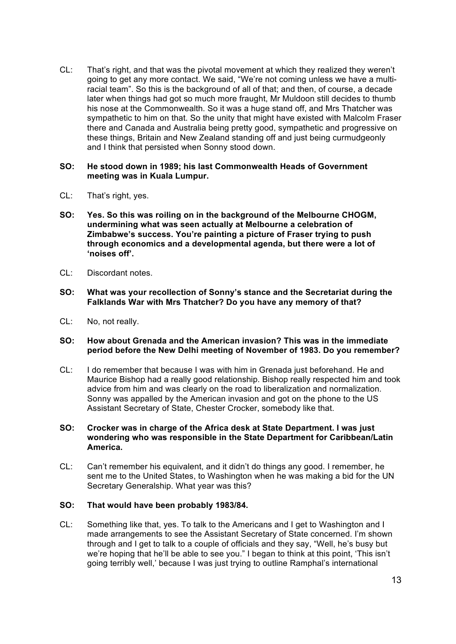CL: That's right, and that was the pivotal movement at which they realized they weren't going to get any more contact. We said, "We're not coming unless we have a multiracial team". So this is the background of all of that; and then, of course, a decade later when things had got so much more fraught, Mr Muldoon still decides to thumb his nose at the Commonwealth. So it was a huge stand off, and Mrs Thatcher was sympathetic to him on that. So the unity that might have existed with Malcolm Fraser there and Canada and Australia being pretty good, sympathetic and progressive on these things, Britain and New Zealand standing off and just being curmudgeonly and I think that persisted when Sonny stood down.

## **SO: He stood down in 1989; his last Commonwealth Heads of Government meeting was in Kuala Lumpur.**

- CL: That's right, yes.
- **SO: Yes. So this was roiling on in the background of the Melbourne CHOGM, undermining what was seen actually at Melbourne a celebration of Zimbabwe's success. You're painting a picture of Fraser trying to push through economics and a developmental agenda, but there were a lot of 'noises off'.**
- CL: Discordant notes.
- **SO: What was your recollection of Sonny's stance and the Secretariat during the Falklands War with Mrs Thatcher? Do you have any memory of that?**
- CL: No, not really.

#### **SO: How about Grenada and the American invasion? This was in the immediate period before the New Delhi meeting of November of 1983. Do you remember?**

CL: I do remember that because I was with him in Grenada just beforehand. He and Maurice Bishop had a really good relationship. Bishop really respected him and took advice from him and was clearly on the road to liberalization and normalization. Sonny was appalled by the American invasion and got on the phone to the US Assistant Secretary of State, Chester Crocker, somebody like that.

## **SO: Crocker was in charge of the Africa desk at State Department. I was just wondering who was responsible in the State Department for Caribbean/Latin America.**

CL: Can't remember his equivalent, and it didn't do things any good. I remember, he sent me to the United States, to Washington when he was making a bid for the UN Secretary Generalship. What year was this?

#### **SO: That would have been probably 1983/84.**

CL: Something like that, yes. To talk to the Americans and I get to Washington and I made arrangements to see the Assistant Secretary of State concerned. I'm shown through and I get to talk to a couple of officials and they say, "Well, he's busy but we're hoping that he'll be able to see you." I began to think at this point, 'This isn't going terribly well,' because I was just trying to outline Ramphal's international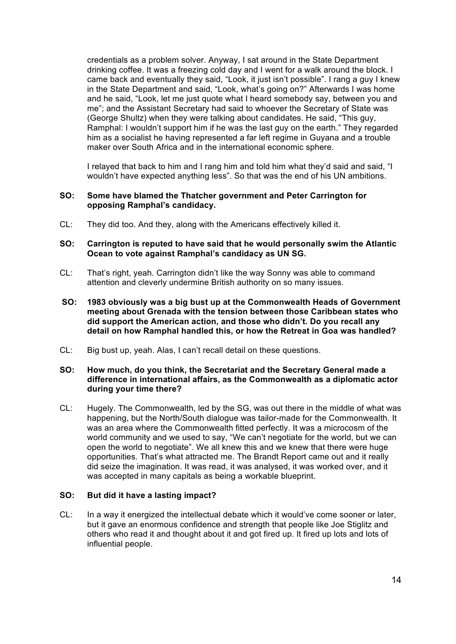credentials as a problem solver. Anyway, I sat around in the State Department drinking coffee. It was a freezing cold day and I went for a walk around the block. I came back and eventually they said, "Look, it just isn't possible". I rang a guy I knew in the State Department and said, "Look, what's going on?" Afterwards I was home and he said, "Look, let me just quote what I heard somebody say, between you and me"; and the Assistant Secretary had said to whoever the Secretary of State was (George Shultz) when they were talking about candidates. He said, "This guy, Ramphal: I wouldn't support him if he was the last guy on the earth." They regarded him as a socialist he having represented a far left regime in Guyana and a trouble maker over South Africa and in the international economic sphere.

I relayed that back to him and I rang him and told him what they'd said and said, "I wouldn't have expected anything less". So that was the end of his UN ambitions.

#### **SO: Some have blamed the Thatcher government and Peter Carrington for opposing Ramphal's candidacy.**

CL: They did too. And they, along with the Americans effectively killed it.

#### **SO: Carrington is reputed to have said that he would personally swim the Atlantic Ocean to vote against Ramphal's candidacy as UN SG.**

- CL: That's right, yeah. Carrington didn't like the way Sonny was able to command attention and cleverly undermine British authority on so many issues.
- **SO: 1983 obviously was a big bust up at the Commonwealth Heads of Government meeting about Grenada with the tension between those Caribbean states who did support the American action, and those who didn't. Do you recall any detail on how Ramphal handled this, or how the Retreat in Goa was handled?**
- CL: Big bust up, yeah. Alas, I can't recall detail on these questions.

### **SO: How much, do you think, the Secretariat and the Secretary General made a difference in international affairs, as the Commonwealth as a diplomatic actor during your time there?**

CL: Hugely. The Commonwealth, led by the SG, was out there in the middle of what was happening, but the North/South dialogue was tailor-made for the Commonwealth. It was an area where the Commonwealth fitted perfectly. It was a microcosm of the world community and we used to say, "We can't negotiate for the world, but we can open the world to negotiate". We all knew this and we knew that there were huge opportunities. That's what attracted me. The Brandt Report came out and it really did seize the imagination. It was read, it was analysed, it was worked over, and it was accepted in many capitals as being a workable blueprint.

#### **SO: But did it have a lasting impact?**

CL: In a way it energized the intellectual debate which it would've come sooner or later, but it gave an enormous confidence and strength that people like Joe Stiglitz and others who read it and thought about it and got fired up. It fired up lots and lots of influential people.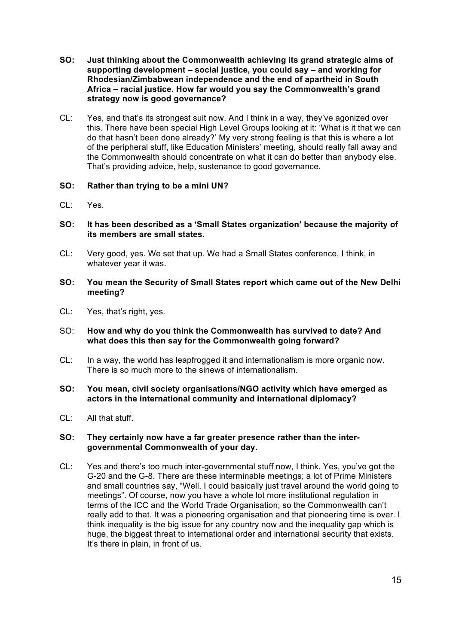- **SO: Just thinking about the Commonwealth achieving its grand strategic aims of supporting development – social justice, you could say – and working for Rhodesian/Zimbabwean independence and the end of apartheid in South Africa – racial justice. How far would you say the Commonwealth's grand strategy now is good governance?**
- CL: Yes, and that's its strongest suit now. And I think in a way, they've agonized over this. There have been special High Level Groups looking at it: 'What is it that we can do that hasn't been done already?' My very strong feeling is that this is where a lot of the peripheral stuff, like Education Ministers' meeting, should really fall away and the Commonwealth should concentrate on what it can do better than anybody else. That's providing advice, help, sustenance to good governance.

# **SO: Rather than trying to be a mini UN?**

- CL: Yes.
- **SO: It has been described as a 'Small States organization' because the majority of its members are small states.**
- CL: Very good, yes. We set that up. We had a Small States conference, I think, in whatever year it was.
- **SO: You mean the Security of Small States report which came out of the New Delhi meeting?**
- CL: Yes, that's right, yes.
- SO: **How and why do you think the Commonwealth has survived to date? And what does this then say for the Commonwealth going forward?**
- CL: In a way, the world has leapfrogged it and internationalism is more organic now. There is so much more to the sinews of internationalism.
- **SO: You mean, civil society organisations/NGO activity which have emerged as actors in the international community and international diplomacy?**
- CL: All that stuff.

## **SO: They certainly now have a far greater presence rather than the intergovernmental Commonwealth of your day.**

CL: Yes and there's too much inter-governmental stuff now, I think. Yes, you've got the G-20 and the G-8. There are these interminable meetings; a lot of Prime Ministers and small countries say, "Well, I could basically just travel around the world going to meetings". Of course, now you have a whole lot more institutional regulation in terms of the ICC and the World Trade Organisation; so the Commonwealth can't really add to that. It was a pioneering organisation and that pioneering time is over. I think inequality is the big issue for any country now and the inequality gap which is huge, the biggest threat to international order and international security that exists. It's there in plain, in front of us.